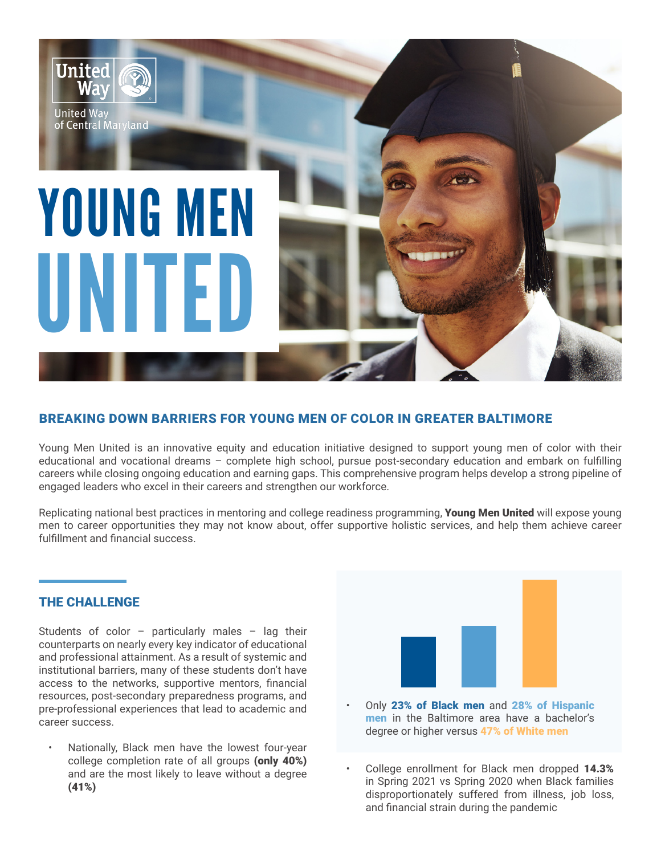

# BREAKING DOWN BARRIERS FOR YOUNG MEN OF COLOR IN GREATER BALTIMORE

Young Men United is an innovative equity and education initiative designed to support young men of color with their educational and vocational dreams – complete high school, pursue post-secondary education and embark on fulfilling careers while closing ongoing education and earning gaps. This comprehensive program helps develop a strong pipeline of engaged leaders who excel in their careers and strengthen our workforce.

Replicating national best practices in mentoring and college readiness programming. Young Men United will expose young men to career opportunities they may not know about, offer supportive holistic services, and help them achieve career fulfillment and financial success.

#### THE CHALLENGE

Students of color – particularly males – lag their counterparts on nearly every key indicator of educational and professional attainment. As a result of systemic and institutional barriers, many of these students don't have access to the networks, supportive mentors, financial resources, post-secondary preparedness programs, and pre-professional experiences that lead to academic and career success.

• Nationally, Black men have the lowest four-year college completion rate of all groups (only 40%) and are the most likely to leave without a degree (41%)



- Only 23% of Black men and 28% of Hispanic men in the Baltimore area have a bachelor's degree or higher versus 47% of White men
- College enrollment for Black men dropped 14.3% in Spring 2021 vs Spring 2020 when Black families disproportionately suffered from illness, job loss, and financial strain during the pandemic